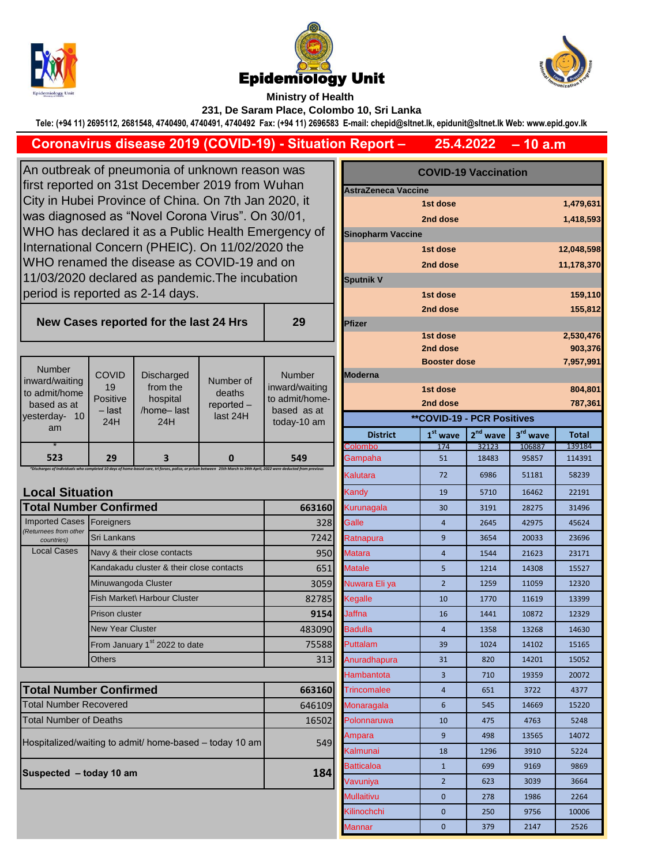





**– 10 a.m**

**Ministry of Health 231, De Saram Place, Colombo 10, Sri Lanka**

**Tele: (+94 11) 2695112, 2681548, 4740490, 4740491, 4740492 Fax: (+94 11) 2696583 E-mail: chepid@sltnet.lk, epidunit@sltnet.lk Web: www.epid.gov.lk**

**29**

## **25.4.2022 Coronavirus disease 2019 (COVID-19) - Situation Report –**

An outbreak of pneumonia of unknown reason was first reported on 31st December 2019 from Wuhan City in Hubei Province of China. On 7th Jan 2020, it was diagnosed as "Novel Corona Virus". On 30/01, WHO has declared it as a Public Health Emergency of International Concern (PHEIC). On 11/02/2020 the WHO renamed the disease as COVID-19 and on 11/03/2020 declared as pandemic.The incubation period is reported as 2-14 days.

**New Cases reported for the last 24 Hrs** 

|                                 |                    |                        |              |                               |                                   |                     |            |            | -----        |
|---------------------------------|--------------------|------------------------|--------------|-------------------------------|-----------------------------------|---------------------|------------|------------|--------------|
|                                 |                    |                        |              |                               |                                   | <b>Booster dose</b> |            |            | 7,957,9      |
| <b>Number</b><br>inward/waiting | <b>COVID</b>       | <b>Discharged</b>      | Number of    | <b>Number</b>                 | <b>IModerna</b>                   |                     |            |            |              |
| to admit/home                   | 19                 | from the               | deaths       | inward/waiting                |                                   | 1st dose            |            |            | 804,8        |
| based as at                     | Positive<br>- last | hospital<br>/home-last | $reported -$ | to admit/home-<br>based as at |                                   | 2nd dose            |            |            | 787,3        |
| 10 <sup>°</sup><br>vesterday-   | 24H                | 24H                    | last 24H     | today-10 am                   | <b>**COVID-19 - PCR Positives</b> |                     |            |            |              |
| am                              |                    |                        |              |                               | <b>District</b>                   | $1st$ wave          | $2nd$ wave | $3rd$ wave | <b>Total</b> |
|                                 |                    |                        |              |                               | <b>Colombo</b>                    | 174                 | 32123      | 106887     | 139184       |
| 523                             | 29                 |                        |              | 549                           | Gampaha                           | 51                  | 18483      | 95857      | 114391       |
|                                 |                    |                        |              |                               |                                   |                     |            |            |              |

*\*Discharges of Individuals who completed 10 days of home-based care, tri forces, police, or prison between 25th March to 24th April, 2022 were deducted from previous* 

## **Local Situation**

| <b>Total Number Confirmed</b>       | 663160                                    |        |
|-------------------------------------|-------------------------------------------|--------|
| <b>Imported Cases</b>               | Foreigners                                | 328    |
| (Returnees from other<br>countries) | Sri Lankans                               | 7242   |
| <b>Local Cases</b>                  | Navy & their close contacts               | 950    |
|                                     | Kandakadu cluster & their close contacts  | 651    |
|                                     | Minuwangoda Cluster                       | 3059   |
|                                     | Fish Market\ Harbour Cluster              | 82785  |
|                                     | Prison cluster                            | 9154   |
|                                     | <b>New Year Cluster</b>                   | 483090 |
|                                     | From January 1 <sup>st</sup> 2022 to date | 75588  |
|                                     | Others                                    | 313    |

| <b>Total Number Confirmed</b>                           | 663160 |
|---------------------------------------------------------|--------|
| <b>Total Number Recovered</b>                           | 646109 |
| <b>Total Number of Deaths</b>                           | 16502  |
| Hospitalized/waiting to admit/ home-based – today 10 am | 549    |
| Suspected - today 10 am                                 | 184    |

| S                         | <b>COVID-19 Vaccination</b> |                                   |            |                      |                    |  |
|---------------------------|-----------------------------|-----------------------------------|------------|----------------------|--------------------|--|
| ٦                         | <b>AstraZeneca Vaccine</b>  |                                   |            |                      |                    |  |
| it                        | 1st dose<br>1,479,631       |                                   |            |                      |                    |  |
|                           | 2nd dose                    |                                   |            |                      | 1,418,593          |  |
| cy of                     | <b>Sinopharm Vaccine</b>    |                                   |            |                      |                    |  |
| €                         |                             | 1st dose                          |            |                      | 12,048,598         |  |
|                           |                             | 2nd dose                          |            |                      | 11,178,370         |  |
|                           | <b>Sputnik V</b>            |                                   |            |                      |                    |  |
|                           |                             | 1st dose                          |            |                      |                    |  |
|                           |                             | 2nd dose                          |            |                      | 159,110<br>155,812 |  |
| 9                         | <b>Pfizer</b>               |                                   |            |                      |                    |  |
|                           |                             | 1st dose                          |            |                      | 2,530,476          |  |
|                           |                             | 2nd dose                          |            |                      | 903,376            |  |
|                           |                             | <b>Booster dose</b>               |            |                      | 7,957,991          |  |
| ber                       | <b>Moderna</b>              |                                   |            |                      |                    |  |
| waiting                   | 1st dose<br>804,801         |                                   |            |                      |                    |  |
| :/home-<br>as at          |                             | 2nd dose                          |            |                      | 787,361            |  |
| 10 <sub>am</sub>          |                             | <b>**COVID-19 - PCR Positives</b> |            |                      |                    |  |
|                           | <b>District</b>             | $1st$ wave                        | $2nd$ wave | 3 <sup>rd</sup> wave | <b>Total</b>       |  |
|                           | Colombo                     | 174                               | 32123      | 106887               | 139184             |  |
| 9<br><b>from previous</b> | Gampaha                     | 51                                | 18483      | 95857                | 114391             |  |
|                           | Kalutara                    | 72                                | 6986       | 51181                | 58239              |  |
|                           | Kandy                       | 19                                | 5710       | 16462                | 22191              |  |
| 663160                    | Kurunagala                  | 30                                | 3191       | 28275                | 31496              |  |
| 328                       | Galle                       | $\overline{4}$                    | 2645       | 42975                | 45624              |  |
| 7242                      | Ratnapura                   | 9                                 | 3654       | 20033                | 23696              |  |
| 950                       | <b>Matara</b>               | $\overline{4}$                    | 1544       | 21623                | 23171              |  |
| 651                       | <b>Matale</b>               | 5                                 | 1214       | 14308                | 15527              |  |
| 3059                      | Nuwara Eli ya               | $\overline{2}$                    | 1259       | 11059                | 12320              |  |
| 82785                     | Kegalle                     | 10                                | 1770       | 11619                | 13399              |  |
| 9154                      | Jaffna                      | 16                                | 1441       | 10872                | 12329              |  |
| 483090                    | <b>Badulla</b>              | $\overline{4}$                    | 1358       | 13268                | 14630              |  |
| 75588                     | Puttalam                    | 39                                | 1024       | 14102                | 15165              |  |
| 313                       | Anuradhapura                | 31                                | 820        | 14201                | 15052              |  |
|                           | Hambantota                  | 3                                 | 710        | 19359                | 20072              |  |
| 663160                    | Trincomalee                 | 4                                 | 651        | 3722                 | 4377               |  |
| 646109                    | Monaragala                  | 6                                 | 545        | 14669                | 15220              |  |
| 16502                     | Polonnaruwa                 | 10                                | 475        | 4763                 | 5248               |  |
|                           | Ampara                      | 9                                 | 498        | 13565                | 14072              |  |
| 549                       | Kalmunai                    | 18                                | 1296       | 3910                 | 5224               |  |
|                           | Batticaloa                  | $\mathbf{1}$                      | 699        | 9169                 | 9869               |  |
| 184                       | Vavuniya                    | $\overline{2}$                    | 623        | 3039                 | 3664               |  |
|                           | Mullaitivu                  | $\mathbf{0}$                      | 278        | 1986                 | 2264               |  |
|                           | Kilinochchi                 | 0                                 | 250        | 9756                 | 10006              |  |
|                           | Mannar                      | $\overline{0}$                    | 379        | 2147                 | 2526               |  |
|                           |                             |                                   |            |                      |                    |  |